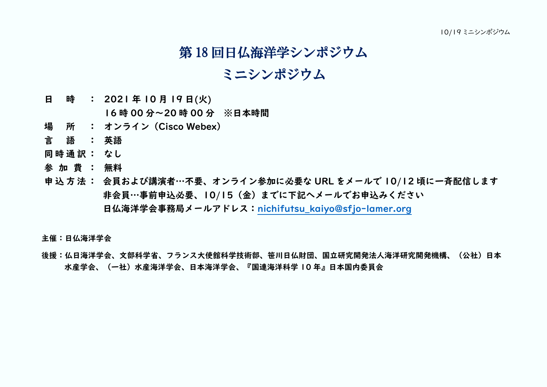## 第 18 回日仏海洋学シンポジウム

## ミニシンポジウム

日 時 : 2021年10月19日(火)

16 時 00 分~20 時 00 分 ※日本時間

- 場 所 : オンライン(Cisco Webex)
- 言語: 英語
- 同時通訳 : なし
- 参 加 費 : 無料
- 申込方法 : 会員および講演者…不要、オンライン参加に必要な URL をメールで 10/12 頃に一斉配信します 非会員…事前申込必要、10/15(金)までに下記ヘメールでお申込みください 日仏海洋学会事務局メールアドレス:[nichifutsu\\_kaiyo@sfjo-lamer.org](file:///G:/cymodocea/documents/2021/日仏海洋学会/10月19日/１０月１９日/10月19日ミニシンポ1002hnd/nichifutsu_kaiyo@sfjo-lamer.org)

主催:日仏海洋学会

後援:仏日海洋学会、文部科学省、フランス大使館科学技術部、笹川日仏財団、国立研究開発法人海洋研究開発機構、(公社)日本 水産学会、(一社)水産海洋学会、日本海洋学会、『国連海洋科学 10 年』日本国内委員会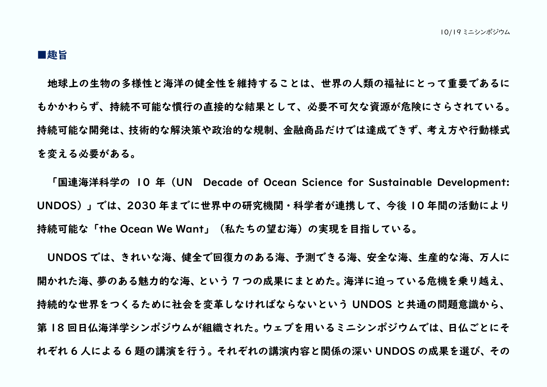## ■趣旨

地球上の生物の多様性と海洋の健全性を維持することは、世界の人類の福祉にとって重要であるに もかかわらず、持続不可能な慣行の直接的な結果として、必要不可欠な資源が危険にさらされている。 持続可能な開発は、技術的な解決策や政治的な規制、金融商品だけでは達成できず、考え方や行動様式 を変える必要がある。

「国連海洋科学の 10 年(UN Decade of Ocean Science for Sustainable Development: UNDOS)」では、2030 年までに世界中の研究機関・科学者が連携して、今後 10 年間の活動により 持続可能な「the Ocean We Want」(私たちの望む海)の実現を目指している。

UNDOS では、きれいな海、健全で回復力のある海、予測できる海、安全な海、生産的な海、万人に 開かれた海、夢のある魅力的な海、という 7 つの成果にまとめた。海洋に迫っている危機を乗り越え、 持続的な世界をつくるために社会を変革しなければならないという UNDOS と共通の問題意識から、 第18回日仏海洋学シンポジウムが組織された。ウェブを用いるミニシンポジウムでは、日仏ごとにそ れぞれ 6 人による 6 題の講演を行う。それぞれの講演内容と関係の深い UNDOS の成果を選び、その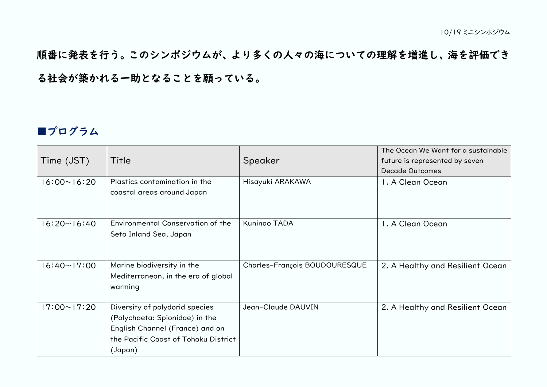順番に発表を行う。このシンポジウムが、より多くの人々の海についての理解を増進し、海を評価でき る社会が築かれる一助となることを願っている。

## ■プログラム

| Time (JST)         | Title                                                                                                                                                  | Speaker                       | The Ocean We Want for a sustainable<br>future is represented by seven<br><b>Decade Outcomes</b> |
|--------------------|--------------------------------------------------------------------------------------------------------------------------------------------------------|-------------------------------|-------------------------------------------------------------------------------------------------|
| $16:00 \sim 16:20$ | Plastics contamination in the<br>coastal areas around Japan                                                                                            | Hisayuki ARAKAWA              | I. A Clean Ocean                                                                                |
| $16:20 \sim 16:40$ | Environmental Conservation of the<br>Seto Inland Sea, Japan                                                                                            | Kuningo TADA                  | I. A Clean Ocean                                                                                |
| $6:40 \sim 17:00$  | Marine biodiversity in the<br>Mediterranean, in the era of global<br>warming                                                                           | Charles-François BOUDOURESQUE | 2. A Healthy and Resilient Ocean                                                                |
| $17:00 \sim 17:20$ | Diversity of polydorid species<br>(Polychaeta: Spionidae) in the<br>English Channel (France) and on<br>the Pacific Coast of Tohoku District<br>(Japan) | Jean-Claude DAUVIN            | 2. A Healthy and Resilient Ocean                                                                |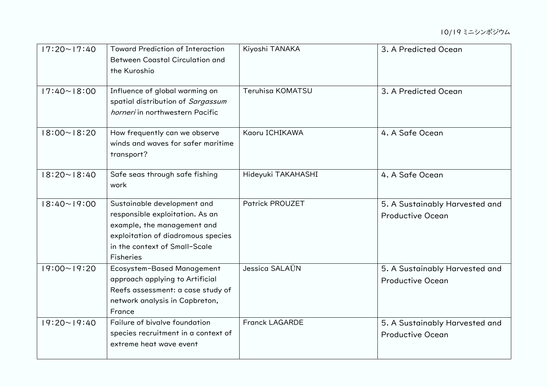| $17:20 \sim 17:40$ | <b>Toward Prediction of Interaction</b><br><b>Between Coastal Circulation and</b><br>the Kuroshio                                                                                 | Kiyoshi TANAKA         | 3. A Predicted Ocean                                      |
|--------------------|-----------------------------------------------------------------------------------------------------------------------------------------------------------------------------------|------------------------|-----------------------------------------------------------|
| $17:40 \sim 18:00$ | Influence of global warming on<br>spatial distribution of Sargassum<br>horneri in northwestern Pacific                                                                            | Teruhisa KOMATSU       | 3. A Predicted Ocean                                      |
| $18:00 \sim 18:20$ | How frequently can we observe<br>winds and waves for safer maritime<br>transport?                                                                                                 | Kaoru ICHIKAWA         | 4. A Safe Ocean                                           |
| $18:20 \sim 18:40$ | Safe seas through safe fishing<br>work                                                                                                                                            | Hideyuki TAKAHASHI     | 4. A Safe Ocean                                           |
| $18:40 \sim 19:00$ | Sustainable development and<br>responsible exploitation. As an<br>example, the management and<br>exploitation of diadromous species<br>in the context of Small-Scale<br>Fisheries | <b>Patrick PROUZET</b> | 5. A Sustainably Harvested and<br><b>Productive Ocean</b> |
| $19:00 \sim 19:20$ | Ecosystem-Based Management<br>approach applying to Artificial<br>Reefs assessment: a case study of<br>network analysis in Capbreton,<br>France                                    | Jessica SALAÜN         | 5. A Sustainably Harvested and<br><b>Productive Ocean</b> |
| $19:20 \sim 19:40$ | Failure of bivalve foundation<br>species recruitment in a context of<br>extreme heat wave event                                                                                   | <b>Franck LAGARDE</b>  | 5. A Sustainably Harvested and<br><b>Productive Ocean</b> |